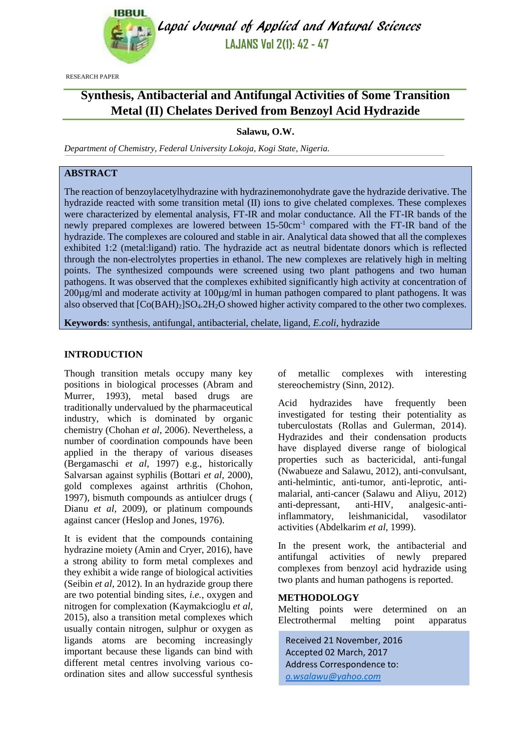

Lapai Journal of Applied and Natural Sciences **LAJANS Vol 2(1): 42 - 47**

RESEARCH PAPER

# **Synthesis, Antibacterial and Antifungal Activities of Some Transition Metal (II) Chelates Derived from Benzoyl Acid Hydrazide**

## **Salawu, O.W.**

*Department of Chemistry, Federal University Lokoja, Kogi State, Nigeria.*

## **ABSTRACT**

The reaction of benzoylacetylhydrazine with hydrazinemonohydrate gave the hydrazide derivative. The hydrazide reacted with some transition metal (II) ions to give chelated complexes. These complexes were characterized by elemental analysis, FT-IR and molar conductance. All the FT-IR bands of the newly prepared complexes are lowered between 15-50cm<sup>-1</sup> compared with the FT-IR band of the hydrazide. The complexes are coloured and stable in air. Analytical data showed that all the complexes exhibited 1:2 (metal:ligand) ratio. The hydrazide act as neutral bidentate donors which is reflected through the non-electrolytes properties in ethanol. The new complexes are relatively high in melting points. The synthesized compounds were screened using two plant pathogens and two human pathogens. It was observed that the complexes exhibited significantly high activity at concentration of  $200\mu\text{g/ml}$  and moderate activity at  $100\mu\text{g/ml}$  in human pathogen compared to plant pathogens. It was also observed that  $[Co(BAH)_2]SO_4.2H_2O$  showed higher activity compared to the other two complexes.

**Keywords**: synthesis, antifungal, antibacterial, chelate, ligand, *E.coli*, hydrazide

#### **INTRODUCTION**

Though transition metals occupy many key positions in biological processes (Abram and Murrer, 1993), metal based drugs are traditionally undervalued by the pharmaceutical industry, which is dominated by organic chemistry (Chohan *et al*, 2006). Nevertheless, a number of coordination compounds have been applied in the therapy of various diseases (Bergamaschi *et al*, 1997) e.g., historically Salvarsan against syphilis (Bottari *et al,* 2000), gold complexes against arthritis (Chohon, 1997), bismuth compounds as antiulcer drugs ( Dianu *et al*, 2009), or platinum compounds against cancer (Heslop and Jones, 1976).

It is evident that the compounds containing hydrazine moiety (Amin and Cryer, 2016), have a strong ability to form metal complexes and they exhibit a wide range of biological activities (Seibin *et al*, 2012). In an hydrazide group there are two potential binding sites, *i.e.*, oxygen and nitrogen for complexation (Kaymakcioglu *et al*, 2015), also a transition metal complexes which usually contain nitrogen, sulphur or oxygen as ligands atoms are becoming increasingly important because these ligands can bind with different metal centres involving various coordination sites and allow successful synthesis of metallic complexes with interesting stereochemistry (Sinn, 2012).

Acid hydrazides have frequently been investigated for testing their potentiality as tuberculostats (Rollas and Gulerman, 2014). Hydrazides and their condensation products have displayed diverse range of biological properties such as bactericidal, anti-fungal (Nwabueze and Salawu, 2012), anti-convulsant, anti-helmintic, anti-tumor, anti-leprotic, antimalarial, anti-cancer (Salawu and Aliyu, 2012) anti-depressant, anti-HIV, analgesic-antiinflammatory, leishmanicidal, vasodilator activities (Abdelkarim *et al*, 1999).

In the present work, the antibacterial and antifungal activities of newly prepared complexes from benzoyl acid hydrazide using two plants and human pathogens is reported.

#### **METHODOLOGY**

Melting points were determined on an Electrothermal melting point apparatus

Received 21 November, 2016 Accepted 02 March, 2017 Address Correspondence to: *[o.wsalawu@yahoo.com](mailto:o.wsalawu@yahoo.com)*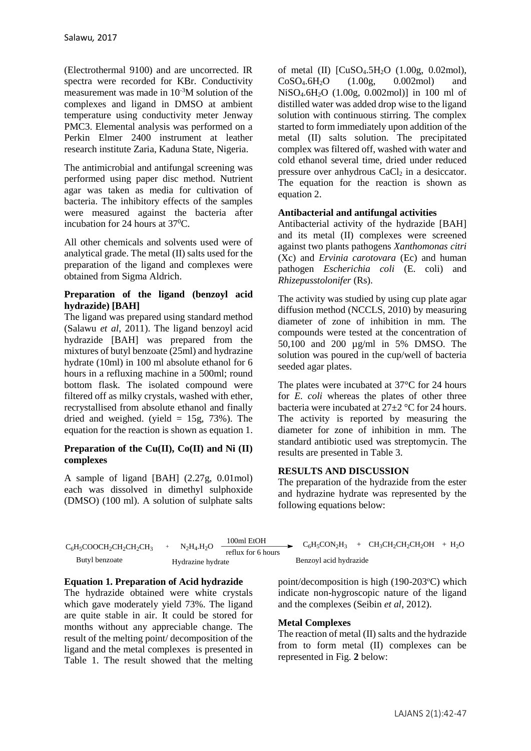(Electrothermal 9100) and are uncorrected. IR spectra were recorded for KBr. Conductivity measurement was made in 10-3M solution of the complexes and ligand in DMSO at ambient temperature using conductivity meter Jenway PMC3. Elemental analysis was performed on a Perkin Elmer 2400 instrument at leather research institute Zaria, Kaduna State, Nigeria.

The antimicrobial and antifungal screening was performed using paper disc method. Nutrient agar was taken as media for cultivation of bacteria. The inhibitory effects of the samples were measured against the bacteria after incubation for 24 hours at  $37^0C$ .

All other chemicals and solvents used were of analytical grade. The metal (II) salts used for the preparation of the ligand and complexes were obtained from Sigma Aldrich.

## **Preparation of the ligand (benzoyl acid hydrazide) [BAH]**

The ligand was prepared using standard method (Salawu *et al*, 2011). The ligand benzoyl acid hydrazide [BAH] was prepared from the mixtures of butyl benzoate (25ml) and hydrazine hydrate (10ml) in 100 ml absolute ethanol for 6 hours in a refluxing machine in a 500ml; round bottom flask. The isolated compound were filtered off as milky crystals, washed with ether, recrystallised from absolute ethanol and finally dried and weighed. (yield  $= 15g, 73%$ ). The equation for the reaction is shown as equation 1.

## **Preparation of the Cu(II), Co(II) and Ni (II) complexes**

A sample of ligand [BAH] (2.27g, 0.01mol) each was dissolved in dimethyl sulphoxide (DMSO) (100 ml). A solution of sulphate salts of metal (II)  $[CuSO<sub>4</sub>.5H<sub>2</sub>O (1.00g, 0.02mol),$  $CoSO_4.6H_2O$  (1.00g, 0.002mol) and NiSO4.6H2O (1.00g, 0.002mol)] in 100 ml of distilled water was added drop wise to the ligand solution with continuous stirring. The complex started to form immediately upon addition of the metal (II) salts solution. The precipitated complex was filtered off, washed with water and cold ethanol several time, dried under reduced pressure over anhydrous  $CaCl<sub>2</sub>$  in a desiccator. The equation for the reaction is shown as equation 2.

## **Antibacterial and antifungal activities**

Antibacterial activity of the hydrazide [BAH] and its metal (II) complexes were screened against two plants pathogens *Xanthomonas citri*  (Xc) and *Ervinia carotovara* (Ec) and human pathogen *Escherichia coli* (E. coli) and *Rhizepusstolonifer* (Rs).

The activity was studied by using cup plate agar diffusion method (NCCLS, 2010) by measuring diameter of zone of inhibition in mm. The compounds were tested at the concentration of 50,100 and 200 µg/ml in 5% DMSO. The solution was poured in the cup/well of bacteria seeded agar plates.

The plates were incubated at 37°C for 24 hours for *E. coli* whereas the plates of other three bacteria were incubated at 27±2 °C for 24 hours. The activity is reported by measuring the diameter for zone of inhibition in mm. The standard antibiotic used was streptomycin. The results are presented in Table 3.

## **RESULTS AND DISCUSSION**

The preparation of the hydrazide from the ester and hydrazine hydrate was represented by the following equations below:

| $C_6H_5COOCH_2CH_2CH_2CH_3$ |                          | 100ml EtOH         |                        | $C_6H_5CON_2H_3 + CH_3CH_2CH_2CH_2OH + H_2O$ |  |
|-----------------------------|--------------------------|--------------------|------------------------|----------------------------------------------|--|
|                             | $N2H4$ .H <sub>2</sub> O | reflux for 6 hours |                        |                                              |  |
| Butyl benzoate              | Hydrazine hydrate        |                    | Benzovl acid hydrazide |                                              |  |

## **Equation 1. Preparation of Acid hydrazide**

The hydrazide obtained were white crystals which gave moderately yield 73%. The ligand are quite stable in air. It could be stored for months without any appreciable change. The result of the melting point/ decomposition of the ligand and the metal complexes is presented in Table 1. The result showed that the melting point/decomposition is high  $(190-203^{\circ}C)$  which indicate non-hygroscopic nature of the ligand and the complexes (Seibin *et al*, 2012).

## **Metal Complexes**

The reaction of metal (II) salts and the hydrazide from to form metal (II) complexes can be represented in Fig. **2** below: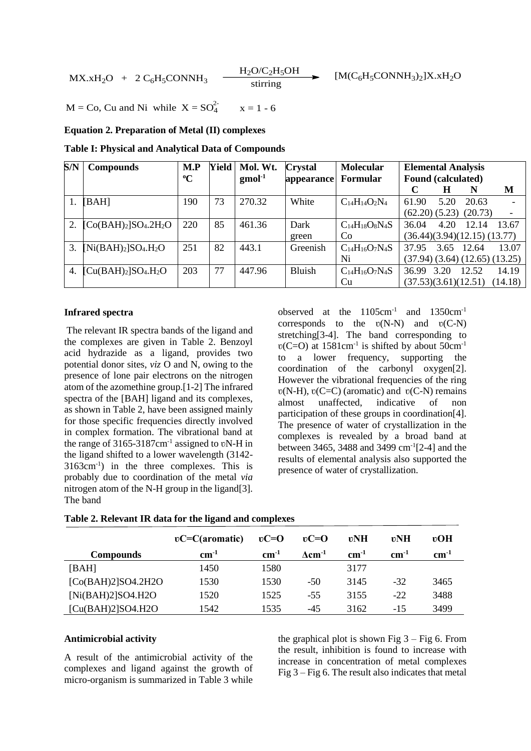$$
MX.xH_2O + 2 C_6H_5CONNH_3 \xrightarrow{H_2O/C_2H_5OH} [M(C_6H_5CONNH_3)_2]X.xH_2O
$$

 $M = Co$ , Cu and Ni while  $X = SO_4^2$  $x = 1 - 6$ 

#### **Equation 2. Preparation of Metal (II) complexes**

**Table I: Physical and Analytical Data of Compounds**

| S/N | <b>Compounds</b>                         | M.P         | <b>Yield</b> | Mol. Wt.           | <b>Crystal</b> | <b>Molecular</b>      | <b>Elemental Analysis</b> |      |                                        |                          |
|-----|------------------------------------------|-------------|--------------|--------------------|----------------|-----------------------|---------------------------|------|----------------------------------------|--------------------------|
|     |                                          | $\rm ^{o}C$ |              | $\text{gmol}^{-1}$ | appearance     | Formular              | <b>Found (calculated)</b> |      |                                        |                          |
|     |                                          |             |              |                    |                |                       |                           | Н    | N                                      | M                        |
|     | [BAH]                                    | 190         | 73           | 270.32             | White          | $C_{14}H_{14}O_2N_4$  | 61.90                     | 5.20 | 20.63                                  |                          |
|     |                                          |             |              |                    |                |                       |                           |      | (62.20) (5.23) (20.73)                 | $\overline{\phantom{a}}$ |
| 2.  | $[Co(BAH)2]SO4.2H2O$                     | 220         | 85           | 461.36             | Dark           | $C_{14}H_{18}O_8N_4S$ | 36.04                     | 4.20 | 12.14                                  | 13.67                    |
|     |                                          |             |              |                    | green          | Co                    |                           |      | (36.44)(3.94)(12.15)(13.77)            |                          |
| 3.  | $[Ni(BAH)2]SO4.H2O$                      | 251         | 82           | 443.1              | Greenish       | $C_{14}H_{16}O_7N_4S$ | 37.95                     |      | 3.65 12.64                             | 13.07                    |
|     |                                          |             |              |                    |                | Ni                    |                           |      | $(37.94)$ $(3.64)$ $(12.65)$ $(13.25)$ |                          |
| 4.  | $\left[\text{Cu(BAH)_2}\right]SO_4.H_2O$ | 203         | 77           | 447.96             | Bluish         | $C_{14}H_{16}O_7N_4S$ | 36.99                     | 3.20 | 12.52                                  | 14.19                    |
|     |                                          |             |              |                    |                | Cu                    | (37.53)(3.61)(12.51)      |      |                                        | (14.18)                  |

#### **Infrared spectra**

The relevant IR spectra bands of the ligand and the complexes are given in Table 2. Benzoyl acid hydrazide as a ligand, provides two potential donor sites, *viz* O and N, owing to the presence of lone pair electrons on the nitrogen atom of the azomethine group.[1-2] The infrared spectra of the [BAH] ligand and its complexes, as shown in Table 2, have been assigned mainly for those specific frequencies directly involved in complex formation. The vibrational band at the range of  $3165-3187$ cm<sup>-1</sup> assigned to vN-H in the ligand shifted to a lower wavelength (3142- 3163cm-1 ) in the three complexes. This is probably due to coordination of the metal *via* nitrogen atom of the N-H group in the ligand[3]. The band

observed at the 1105cm<sup>-1</sup> and 1350cm<sup>-1</sup> corresponds to the  $v(N-N)$  and  $v(C-N)$ stretching[3-4]. The band corresponding to  $v(C=O)$  at 1581cm<sup>-1</sup> is shifted by about 50cm<sup>-1</sup> to a lower frequency, supporting the coordination of the carbonyl oxygen[2]. However the vibrational frequencies of the ring  $v(N-H)$ ,  $v(C=C)$  (aromatic) and  $v(C-N)$  remains almost unaffected, indicative of non participation of these groups in coordination[4]. The presence of water of crystallization in the complexes is revealed by a broad band at between 3465, 3488 and 3499 cm-1 [2-4] and the results of elemental analysis also supported the presence of water of crystallization.

|  |  |  |  |  |  | Table 2. Relevant IR data for the ligand and complexes |
|--|--|--|--|--|--|--------------------------------------------------------|
|--|--|--|--|--|--|--------------------------------------------------------|

|                    | $\mathfrak{v}$ C=C(aromatic) | $\mathbf{v}$ C=O | $\mathbf{v}$ C=O           | <b>vNH</b> | vΝH       | $v$ OH    |
|--------------------|------------------------------|------------------|----------------------------|------------|-----------|-----------|
| <b>Compounds</b>   | $cm^{-1}$                    | $cm^{-1}$        | $\Lambda$ cm <sup>-1</sup> | $cm^{-1}$  | $cm^{-1}$ | $cm^{-1}$ |
| [BAH]              | 1450                         | 1580             |                            | 3177       |           |           |
| [Co(BAH)2]SO4.2H2O | 1530                         | 1530             | $-50$                      | 3145       | $-32$     | 3465      |
| [Ni(BAH)2]SO4.H2O  | 1520                         | 1525             | $-55$                      | 3155       | $-22$     | 3488      |
| [Cu(BAH)2]SO4.H2O  | 1542.                        | 1535             | $-45$                      | 3162       | $-15$     | 3499      |

## **Antimicrobial activity**

A result of the antimicrobial activity of the complexes and ligand against the growth of micro-organism is summarized in Table 3 while the graphical plot is shown Fig  $3 - Fig 6$ . From the result, inhibition is found to increase with increase in concentration of metal complexes Fig 3 – Fig 6. The result also indicates that metal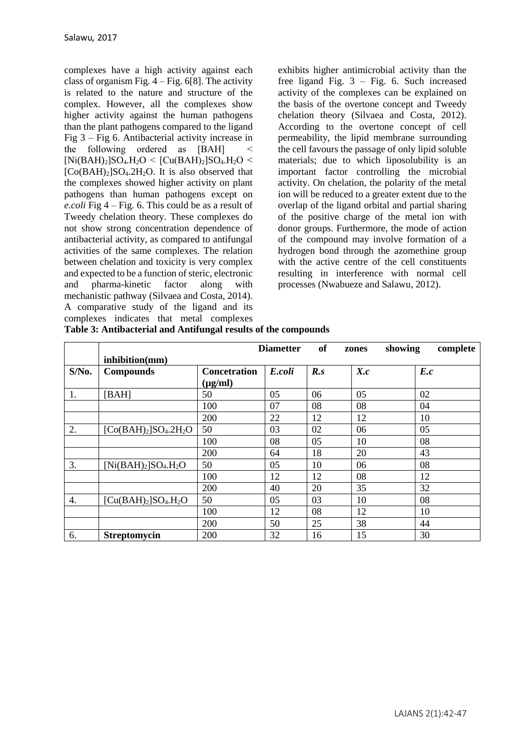complexes have a high activity against each class of organism Fig.  $4 - Fig. 6[8]$ . The activity is related to the nature and structure of the complex. However, all the complexes show higher activity against the human pathogens than the plant pathogens compared to the ligand Fig 3 – Fig 6. Antibacterial activity increase in the following ordered as [BAH]  $[Ni(BAH)_2]SO_4.H_2O < [Cu(BAH)_2]SO_4.H_2O <$  $[Co(BAH)_2]SO_4.2H_2O$ . It is also observed that the complexes showed higher activity on plant pathogens than human pathogens except on *e.coli* Fig 4 – Fig. 6. This could be as a result of Tweedy chelation theory. These complexes do not show strong concentration dependence of antibacterial activity, as compared to antifungal activities of the same complexes. The relation between chelation and toxicity is very complex and expected to be a function of steric, electronic and pharma-kinetic factor along with mechanistic pathway (Silvaea and Costa, 2014). A comparative study of the ligand and its complexes indicates that metal complexes exhibits higher antimicrobial activity than the free ligand Fig. 3 – Fig. 6. Such increased activity of the complexes can be explained on the basis of the overtone concept and Tweedy chelation theory (Silvaea and Costa, 2012). According to the overtone concept of cell permeability, the lipid membrane surrounding the cell favours the passage of only lipid soluble materials; due to which liposolubility is an important factor controlling the microbial activity. On chelation, the polarity of the metal ion will be reduced to a greater extent due to the overlap of the ligand orbital and partial sharing of the positive charge of the metal ion with donor groups. Furthermore, the mode of action of the compound may involve formation of a hydrogen bond through the azomethine group with the active centre of the cell constituents resulting in interference with normal cell processes (Nwabueze and Salawu, 2012).

|                  |                                   |                     | <b>Diametter</b> | of  | zones | showing<br>complete |
|------------------|-----------------------------------|---------------------|------------------|-----|-------|---------------------|
|                  | inhibition(mm)                    |                     |                  |     |       |                     |
| S/No.            | <b>Compounds</b>                  | <b>Concetration</b> | E.coli           | R.s | X.c   | E.c                 |
|                  |                                   | $(\mu g/ml)$        |                  |     |       |                     |
| 1.               | [BAH]                             | 50                  | 05               | 06  | 05    | 02                  |
|                  |                                   | 100                 | 07               | 08  | 08    | 04                  |
|                  |                                   | 200                 | 22               | 12  | 12    | 10                  |
| 2.               | $[Co(BAH)2]SO4.2H2O$              | 50                  | 03               | 02  | 06    | 05                  |
|                  |                                   | 100                 | 08               | 05  | 10    | 08                  |
|                  |                                   | 200                 | 64               | 18  | 20    | 43                  |
| 3.               | $[Ni(BAH)2]SO4.H2O$               | 50                  | 05               | 10  | 06    | 08                  |
|                  |                                   | 100                 | 12               | 12  | 08    | 12                  |
|                  |                                   | 200                 | 40               | 20  | 35    | 32                  |
| $\overline{4}$ . | $\left[Cu(BAH)_2\right]SO_4.H_2O$ | 50                  | 05               | 03  | 10    | 08                  |
|                  |                                   | 100                 | 12               | 08  | 12    | 10                  |
|                  |                                   | 200                 | 50               | 25  | 38    | 44                  |
| 6.               | <b>Streptomycin</b>               | 200                 | 32               | 16  | 15    | 30                  |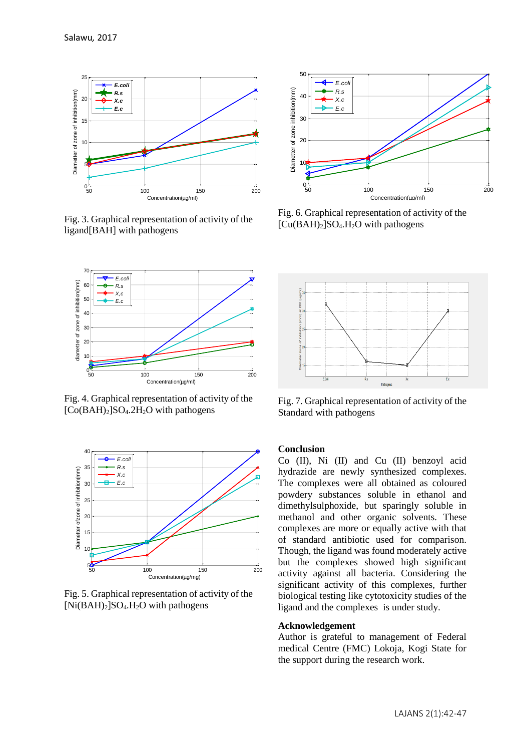

Fig. 3. Graphical representation of activity of the ligand[BAH] with pathogens



Fig. 4. Graphical representation of activity of the  $[Co(BAH)_2]SO_4.2H_2O$  with pathogens



Fig. 5. Graphical representation of activity of the  $[Ni(BAH)_2]SO_4.H_2O$  with pathogens



Fig. 6. Graphical representation of activity of the  $[Cu(BAH)<sub>2</sub>]SO<sub>4</sub>.H<sub>2</sub>O$  with pathogens



Fig. 7. Graphical representation of activity of the Standard with pathogens

## **Conclusion**

Co (II), Ni (II) and Cu (II) benzoyl acid hydrazide are newly synthesized complexes. The complexes were all obtained as coloured powdery substances soluble in ethanol and dimethylsulphoxide, but sparingly soluble in methanol and other organic solvents. These complexes are more or equally active with that of standard antibiotic used for comparison. Though, the ligand was found moderately active but the complexes showed high significant activity against all bacteria. Considering the significant activity of this complexes, further biological testing like cytotoxicity studies of the ligand and the complexes is under study.

#### **Acknowledgement**

Author is grateful to management of Federal medical Centre (FMC) Lokoja, Kogi State for the support during the research work.